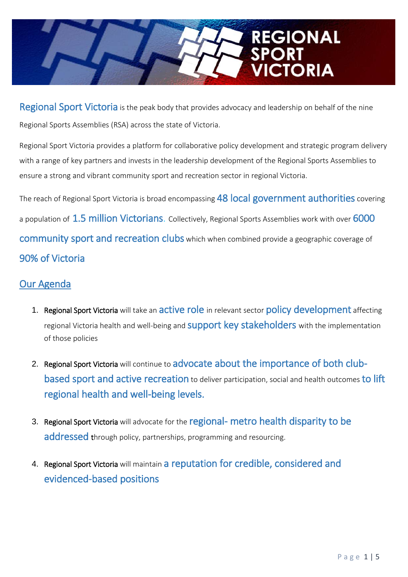# **REGIONAL CTORIA**

Regional Sport Victoria is the peak body that provides advocacy and leadership on behalf of the nine Regional Sports Assemblies (RSA) across the state of Victoria.

Regional Sport Victoria provides a platform for collaborative policy development and strategic program delivery with a range of key partners and invests in the leadership development of the Regional Sports Assemblies to ensure a strong and vibrant community sport and recreation sector in regional Victoria.

The reach of Regional Sport Victoria is broad encompassing 48 local government authorities covering a population of 1.5 million Victorians. Collectively, Regional Sports Assemblies work with over 6000 community sport and recreation clubs which when combined provide a geographic coverage of 90% of Victoria

# Our Agenda

- 1. Regional Sport Victoria will take an active role in relevant sector policy development affecting regional Victoria health and well-being and **SUppOrt key stakeholders** with the implementation of those policies
- 2. Regional Sport Victoria will continue to advocate about the importance of both clubbased sport and active recreation to deliver participation, social and health outcomes to lift regional health and well-being levels.
- 3. Regional Sport Victoria will advocate for the regional- metro health disparity to be addressed through policy, partnerships, programming and resourcing.
- 4. Regional Sport Victoria will maintain a reputation for credible, considered and evidenced-based positions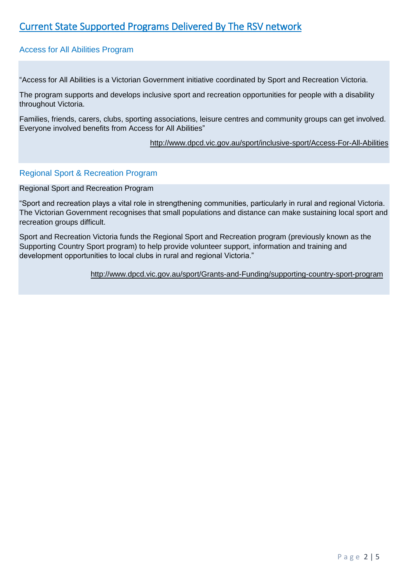# Current State Supported Programs Delivered By The RSV network

#### Access for All Abilities Program

"Access for All Abilities is a Victorian Government initiative coordinated by Sport and Recreation Victoria.

The program supports and develops inclusive sport and recreation opportunities for people with a disability throughout Victoria.

Families, friends, carers, clubs, sporting associations, leisure centres and community groups can get involved. Everyone involved benefits from Access for All Abilities"

<http://www.dpcd.vic.gov.au/sport/inclusive-sport/Access-For-All-Abilities>

#### Regional Sport & Recreation Program

Regional Sport and Recreation Program

"Sport and recreation plays a vital role in strengthening communities, particularly in rural and regional Victoria. The Victorian Government recognises that small populations and distance can make sustaining local sport and recreation groups difficult.

Sport and Recreation Victoria funds the Regional Sport and Recreation program (previously known as the Supporting Country Sport program) to help provide volunteer support, information and training and development opportunities to local clubs in rural and regional Victoria."

<http://www.dpcd.vic.gov.au/sport/Grants-and-Funding/supporting-country-sport-program>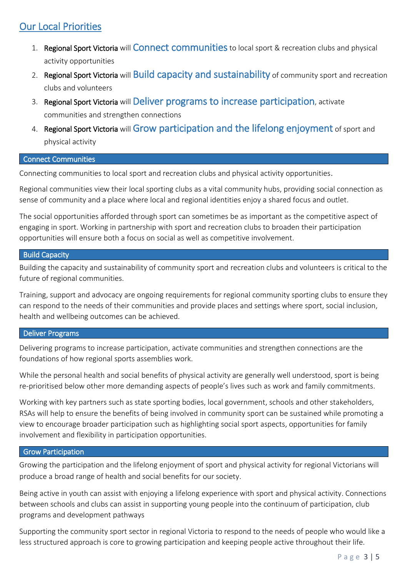# Our Local Priorities

- 1. Regional Sport Victoria will Connect communities to local sport & recreation clubs and physical activity opportunities
- 2. Regional Sport Victoria will Build capacity and sustainability of community sport and recreation clubs and volunteers
- 3. Regional Sport Victoria will Deliver programs to increase participation, activate communities and strengthen connections
- 4. Regional Sport Victoria will Grow participation and the lifelong enjoyment of sport and physical activity

#### Connect Communities

Connecting communities to local sport and recreation clubs and physical activity opportunities.

Regional communities view their local sporting clubs as a vital community hubs, providing social connection as sense of community and a place where local and regional identities enjoy a shared focus and outlet.

The social opportunities afforded through sport can sometimes be as important as the competitive aspect of engaging in sport. Working in partnership with sport and recreation clubs to broaden their participation opportunities will ensure both a focus on social as well as competitive involvement.

#### **Build Capacity**

Building the capacity and sustainability of community sport and recreation clubs and volunteers is critical to the future of regional communities.

Training, support and advocacy are ongoing requirements for regional community sporting clubs to ensure they can respond to the needs of their communities and provide places and settings where sport, social inclusion, health and wellbeing outcomes can be achieved.

#### Deliver Programs

Delivering programs to increase participation, activate communities and strengthen connections are the foundations of how regional sports assemblies work.

While the personal health and social benefits of physical activity are generally well understood, sport is being re-prioritised below other more demanding aspects of people's lives such as work and family commitments.

Working with key partners such as state sporting bodies, local government, schools and other stakeholders, RSAs will help to ensure the benefits of being involved in community sport can be sustained while promoting a view to encourage broader participation such as highlighting social sport aspects, opportunities for family involvement and flexibility in participation opportunities.

#### **Grow Participation**

Growing the participation and the lifelong enjoyment of sport and physical activity for regional Victorians will produce a broad range of health and social benefits for our society.

Being active in youth can assist with enjoying a lifelong experience with sport and physical activity. Connections between schools and clubs can assist in supporting young people into the continuum of participation, club programs and development pathways

Supporting the community sport sector in regional Victoria to respond to the needs of people who would like a less structured approach is core to growing participation and keeping people active throughout their life.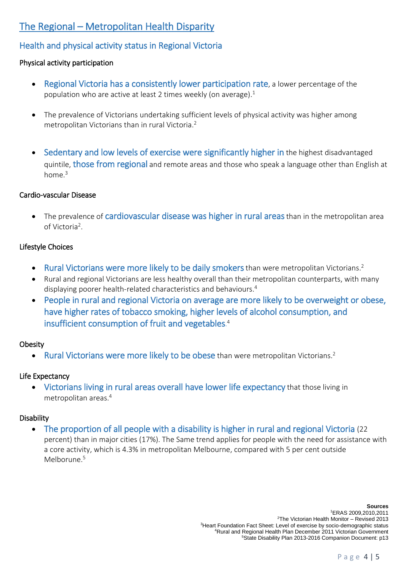# The Regional – Metropolitan Health Disparity

# Health and physical activity status in Regional Victoria

## Physical activity participation

- Regional Victoria has a consistently lower participation rate, a lower percentage of the population who are active at least 2 times weekly (on average).<sup>1</sup>
- The prevalence of Victorians undertaking sufficient levels of physical activity was higher among metropolitan Victorians than in rural Victoria. 2
- Sedentary and low levels of exercise were significantly higher in the highest disadvantaged quintile, those from regional and remote areas and those who speak a language other than English at home.<sup>3</sup>

### Cardio-vascular Disease

• The prevalence of cardiovascular disease was higher in rural areas than in the metropolitan area of Victoria<sup>2</sup>.

## Lifestyle Choices

- Rural Victorians were more likely to be daily smokers than were metropolitan Victorians.<sup>2</sup>
- Rural and regional Victorians are less healthy overall than their metropolitan counterparts, with many displaying poorer health-related characteristics and behaviours.<sup>4</sup>
- People in rural and regional Victoria on average are more likely to be overweight or obese, have higher rates of tobacco smoking, higher levels of alcohol consumption, and insufficient consumption of fruit and vegetables. 4

## **Obesity**

• Rural Victorians were more likely to be obese than were metropolitan Victorians.<sup>2</sup>

## Life Expectancy

• Victorians living in rural areas overall have lower life expectancy that those living in metropolitan areas.<sup>4</sup>

## **Disability**

• The proportion of all people with a disability is higher in rural and regional Victoria (22) percent) than in major cities (17%). The Same trend applies for people with the need for assistance with a core activity, which is 4.3% in metropolitan Melbourne, compared with 5 per cent outside Melborune.<sup>5</sup>